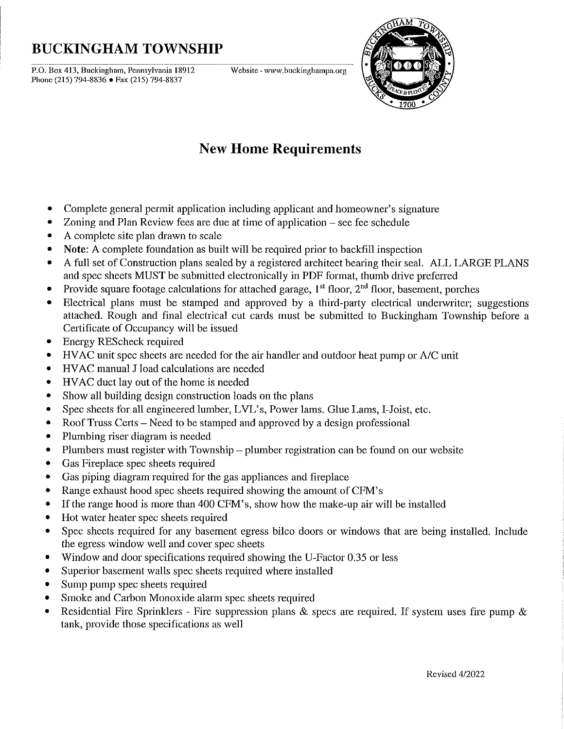## **BUCKINGHAM TOWNSHIP**

.--.-.-."""C""C-"""""""C"------.-~~.----""""'------------ **P.o. Box 413, Buckingham, Pennsylvania 18912 Website -www.buckinghampa.org**  Phone (215) 794-8836 • Fax (215) 794-8837



## **New Home Requirements**

- Complete general permit application including applicant and homeowner's signature
- Zoning and Plan Review fees are due at time of application see fee schedule
- A complete site plan drawn to scale
- Note: A complete foundation as built will be required prior to backfill inspection
- A full set of Construction plans sealed by a registered architect bearing their seal. ALL LARGE PLANS and spec sheets MUST be submitted electronically in PDF format, thumb drive preferred
- Provide square footage calculations for attached garage,  $1<sup>st</sup>$  floor,  $2<sup>nd</sup>$  floor, basement, porches
- Electrical plans must be stamped and approved by a third-party electrical underwriter; suggestions attached. Rough and final electrical cut cards must be submitted to Buckingham Township before a Certificate of Occupancy will be issued
- Energy REScheck required
- HVAC unit spec sheets are needed for the air handler and outdoor heat pump or A/C unit
- HV AC manual J load calculations are needed
- HV AC duct layout of the home is needed
- Show all building design construction loads on the plans
- Spec sheets for all engineered lumber, LVL's, Power lams. Glue Lams, I-Joist, etc.
- Roof Truss Certs Need to be stamped and approved by a design professional
- Plumbing riser diagram is needed
- Plumbers must register with Township plumber registration can be found on our website
- Gas Fireplace spec sheets required
- Gas piping diagram required for the gas appliances and fireplace
- Range exhaust hood spec sheets required showing the amount of CFM's
- If the range hood is more than 400 CFM's, show how the make-up air will be installed
- Hot water heater spec sheets required
- Spec sheets required for any basement egress bilco doors or windows that are being installed. Include the egress window well and cover spec sheets
- Window and door specifications required showing the U-Factor 0.35 or less
- Superior basement walls spec sheets required where installed
- Sump pump spec sheets required
- Smoke and Carbon Monoxide alarm spec sheets required
- Residential Fire Sprinklers Fire suppression plans & specs are required. If system uses fire pump & tank, provide those specifications as well